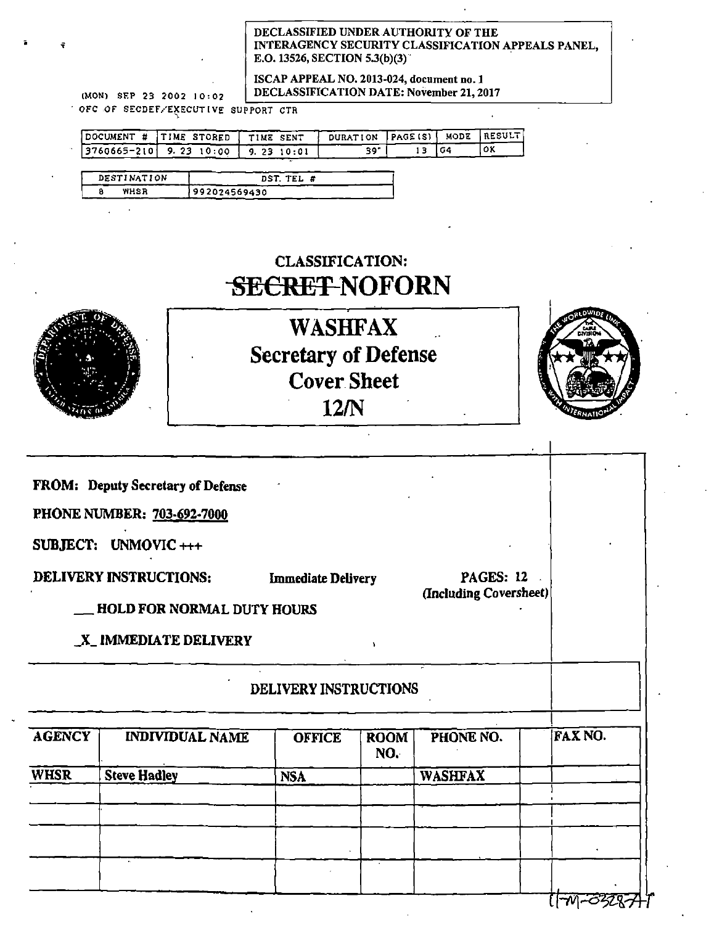#### DECLASSIFIED UNDERAUTHORITY OF THE INTERAGENCY SECURITY CLASSIFICATION APPEALS PANEL, E.O. 13526, SECTION 5.3(b)(3).

ISCAP APPEAL NO. 2013-024, document no. 1  $(MON)$  SEP 23 2002 10:02 | DECLASSIFICATION DATE: November 21, 2017

 $\sim$  OFC OF SECDEF/EXECUTIVE SUPPORT CTR

| DOCUMENT # ITIME STORED I TIME SENT       | DURATION PAGE(S)   MODE   RESULT. |    |  |
|-------------------------------------------|-----------------------------------|----|--|
| $ 3760665 - 210 $ 9.23 10:00   9.23 10:01 |                                   | 64 |  |

| DESTINATION | DST. TEL #    |
|-------------|---------------|
| WHSR        | 1992024569430 |

### CLASSIFICATION: SECRET **NOFORN**



i

WASHFAX Secretary of Defense Cover Sheet 12/N



FROM: Deputy Secretary of Defense

PHONE NUMBER: 703-692-7000

SUBJECT: UNMOVIC+++

DELIVERY INSTRUCTIONS: Immediate Delivery PAGES: 12

(Including Coversheet)

-

\_HOLD FOR NORMAL DUTY HOURS

\_X\_ JMMEDIATE DELIVERY '

### DELIVERY INSTRUCTIONS

|               | DELIVERY INSTRUCTIONS  |               |                    |                |                                |
|---------------|------------------------|---------------|--------------------|----------------|--------------------------------|
| <b>AGENCY</b> | <b>INDIVIDUAL NAME</b> | <b>OFFICE</b> | <b>ROOM</b><br>NO. | PHONE NO.      | FAX NO.                        |
| <b>WHSR</b>   | <b>Steve Hadley</b>    | <b>NSA</b>    |                    | <b>WASHFAX</b> |                                |
|               |                        |               |                    |                |                                |
|               |                        |               |                    |                |                                |
|               |                        |               |                    |                |                                |
|               |                        |               |                    |                | $\overline{1-\mathcal{N}_{1}}$ |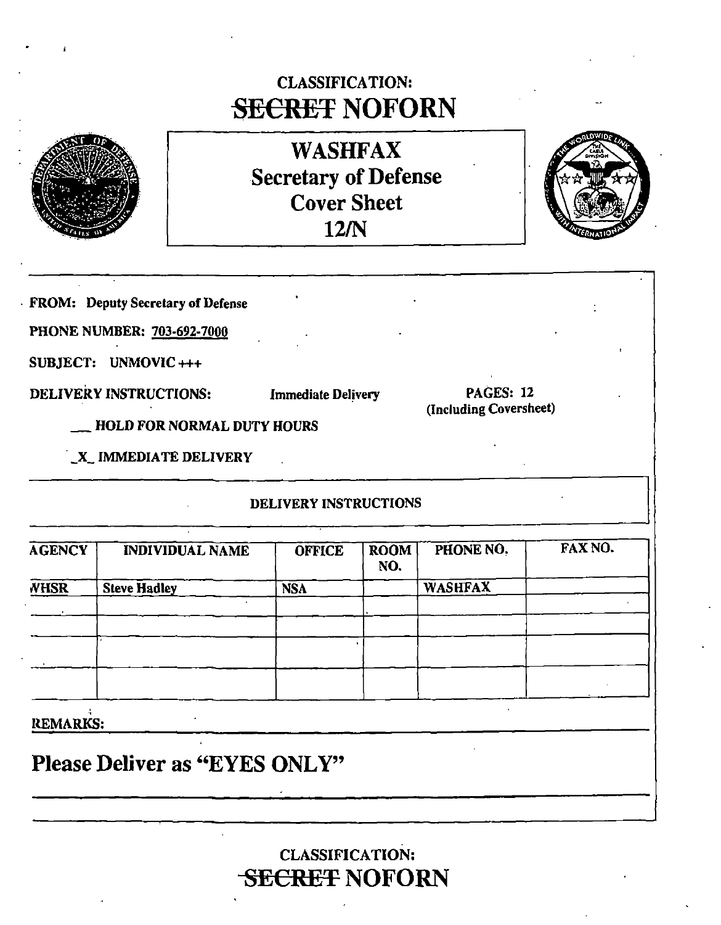### CLASSIFICATION: **SECRET NOFORN**



WASHFAX Secretary of Defense Cover Sheet 12/N



 $\parallel$ 

FROM: Deputy Secretary of Defense

PHONE NUMBER: 703-692-7000

SUBJECT: UNMOVIC+++

DELIVERY INSTRUCTIONS: Immediate Delivery

PAGES: 12 (Including Coversheet)

\_HOLD FOR NORMAL DUTY HOURS

\_X\_ IMMEDIATE DELIVERY

### DELIVERY INSTRUCTIONS

| <b>AGENCY</b>   | <b>INDIVIDUAL NAME</b> | <b>OFFICE</b> | <b>ROOM</b><br>NO. | PHONE NO.      | FAX NO. |
|-----------------|------------------------|---------------|--------------------|----------------|---------|
| <b>WHSR</b>     | <b>Steve Hadley</b>    | <b>NSA</b>    |                    | <b>WASHFAX</b> |         |
|                 |                        |               |                    |                |         |
|                 |                        |               |                    |                |         |
|                 |                        |               |                    |                |         |
|                 |                        |               |                    |                |         |
| <b>REMARKS:</b> |                        |               |                    |                |         |

Please Deliver as "EYES ONLY"

CLASSIFICATION: **SECRET NOFORN**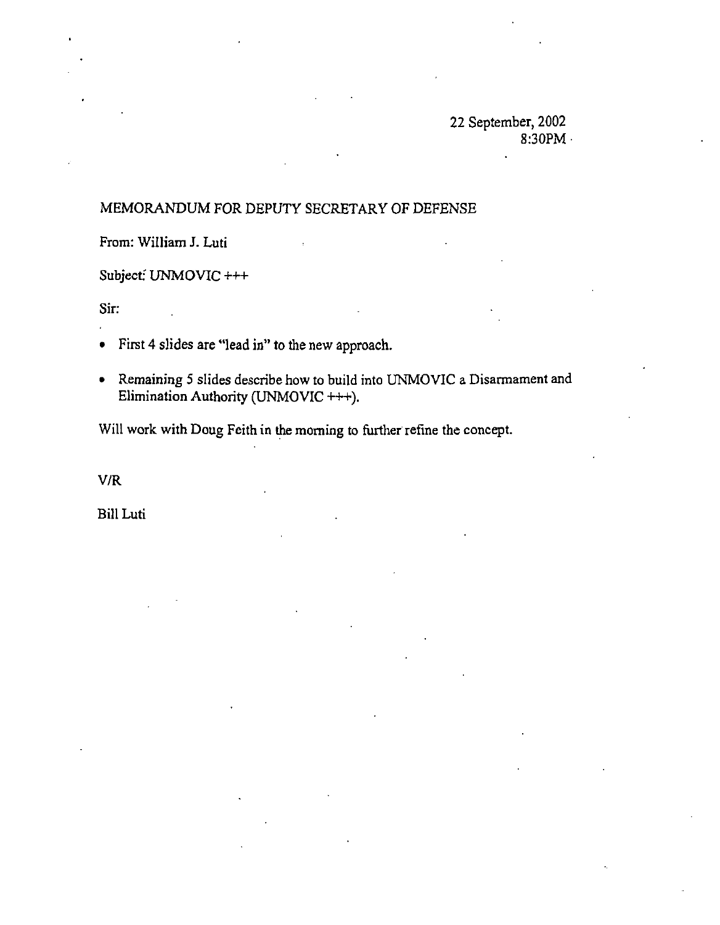22 September, 2002 8:30PM ·

### MEMORANDUM FOR DEPUTY SECRETARY OF DEFENSE

From: William J. Luti

Subject: UNMOVIC +++

Sir:

- First 4 slides are "lead in" to the new approach.
- Remaining 5 slides describe how to build into UNMOVIC a Disarmament and Elimination Authority (UNMOVIC +++).

Will work with Doug Feith in the morning to further refine the concept.

V/R

Bill Luti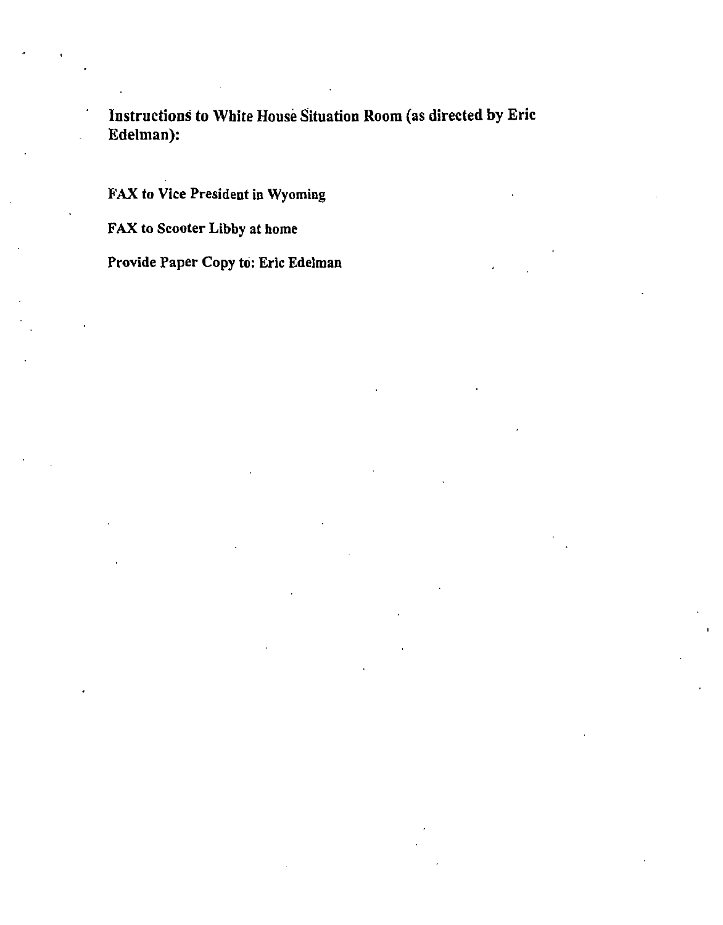Instructions to White House Situation Room (as directed by Eric Edelman):

FAX to Vice President in Wyoming

FAX to Scooter Libby at home

Provide Paper Copy fo: Eric Edelman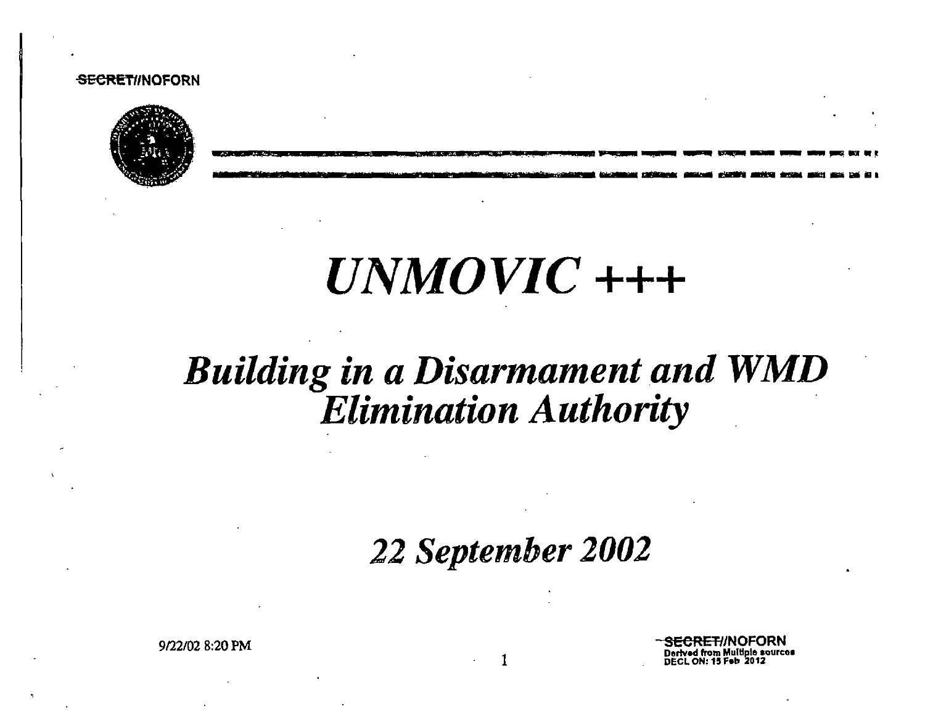#### **SECRET/INOFORN**



UNMOVIC +++

### **Building in a Disarmament and WMD Elimination Authority**

22 September 2002

9/22/02 8:20 PM

Derived from Multiple sources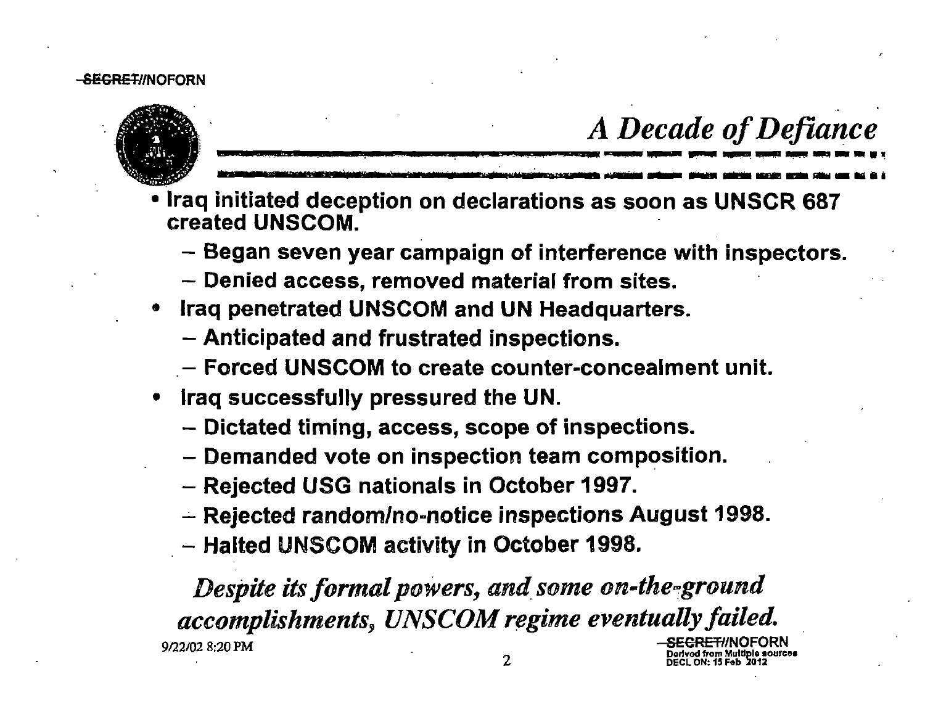### -<del>SECRET</del>//NOFORN



### ..

- *A Decade of Defiance*<br>• Iraq initiated deception on declarations as soon as UNSCR 687 created UNSCOM.
	- Began seven year campaign of interference with inspectors.
	- Denied access, removed material from sites.
- **Iraq penetrated UNSCOM and UN Headquarters.** 
	- Anticipated and frustrated inspections.
	- $-$  Forced UNSCOM to create counter-concealment unit.
- Iraq successfully pressured the UN.
	- Dictated timing, access, scope of inspections.
	- Demanded vote on inspection team composition.
	- Rejected USG nationals in October 1997.
	- $-$  Rejected random/no-notice inspections August 1998.
	- Halted UNSCOM activity in October 1998.

Despite its formal powers, and some on-the-ground *accomplishments, UNSCOM regime eventually failed. <sup>9122102</sup>*8:20 PM SECRET//NOFORN Dorlvod from Multiple sources<br>DECL ON: 15 Feb 2012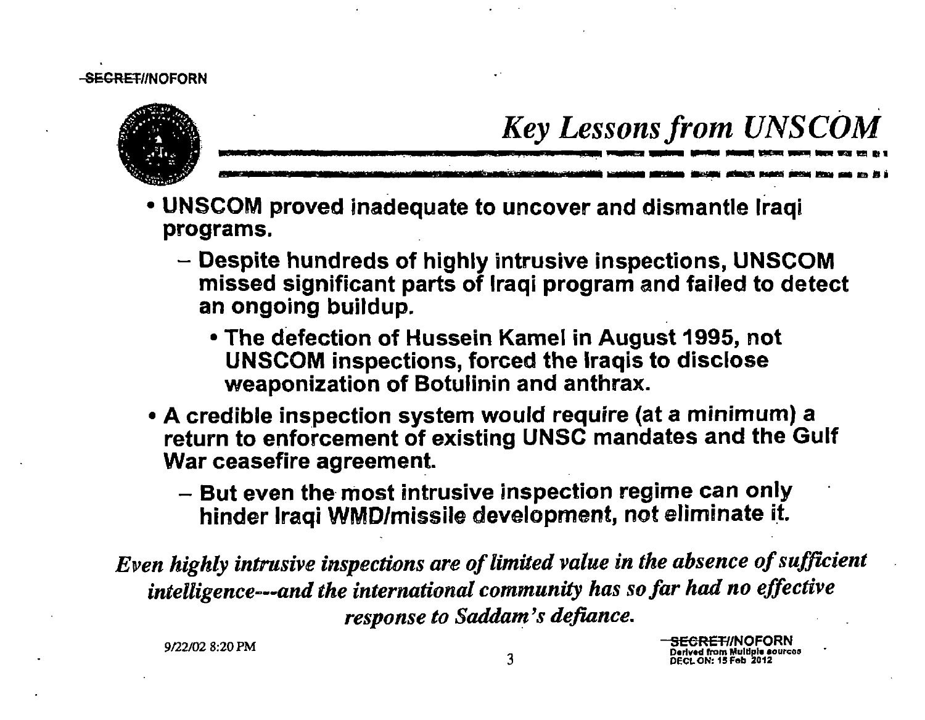

# $\textit{Key} \textit{Lessons from UNSCOM} \textit{Lens}$

S<del>ECRET/</del>/NOFORN erlved from Multiple sourcos

- UNSCOM proved inadequate to uncover and dismantle Iraqi programs.
	- Despite hundreds of highly intrusive inspections, UNSCOM missed significant parts of Iraqi program and failed to detect an ongoing buildup.
		- The defection of Hussein Kamel in August 1995, not UNSCOM inspections, forced the Iraqis to disclose weaponization of Botulinin and anthrax.
- A credible inspection system would require (at a minimum) a return to enforcement of existing UNSC mandates and the Gulf War ceasefire agreement.
	- $-$  But even the most intrusive inspection regime can only hinder Iraqi WMD/missile development, not eliminate it.

Even highly intrusive inspections are of limited value in the absence of sufficient intelligence~--and *the international community has so far had no effective response to Saddam's defiance.* 

9122102 8:20 PM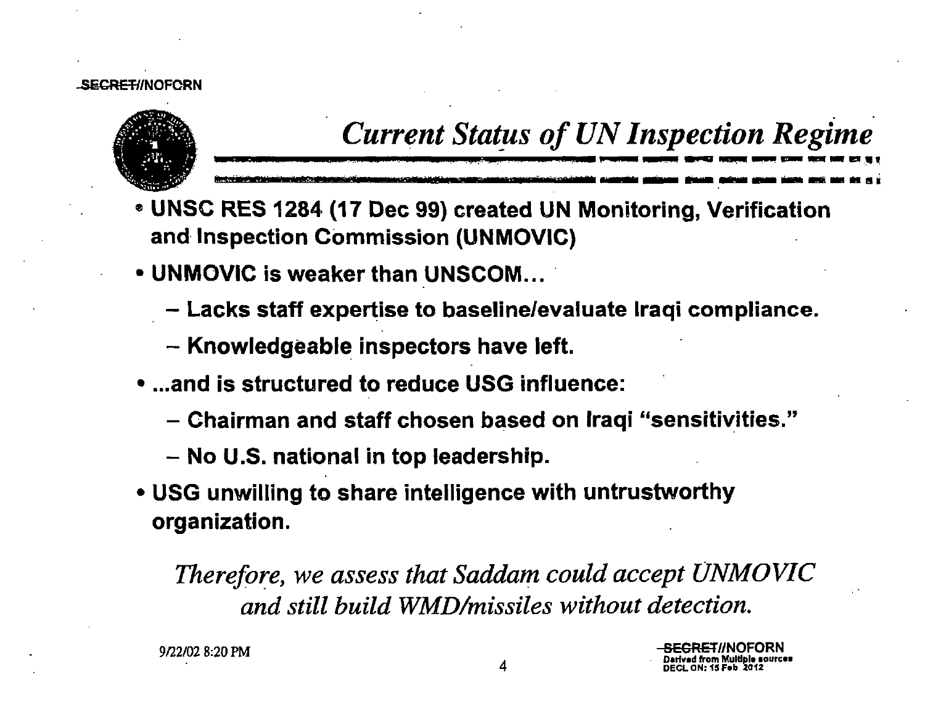### **LSECRET/INOFORN**



### **Current Status of UN Inspection Regime**

- UNSC RES 1284 (17 Dec 99) created UN Monitoring, Verification and Inspection Commission (UNMOVIC)
- UNMOVIC is weaker than UNSCOM...
	- Lacks staff expertise to baseline/evaluate Iraqi compliance.
	- Knowledgeable inspectors have left.
- ...and is structured to reduce USG influence:
	- Chairman and staff chosen based on Iraqi "sensitivities."
	- No U.S. national in top leadership.
- USG unwilling to share intelligence with untrustworthy organization.

Therefore, we assess that Saddam could accept UNMOVIC and still build WMD/missiles without detection.

9/22/02 8:20 PM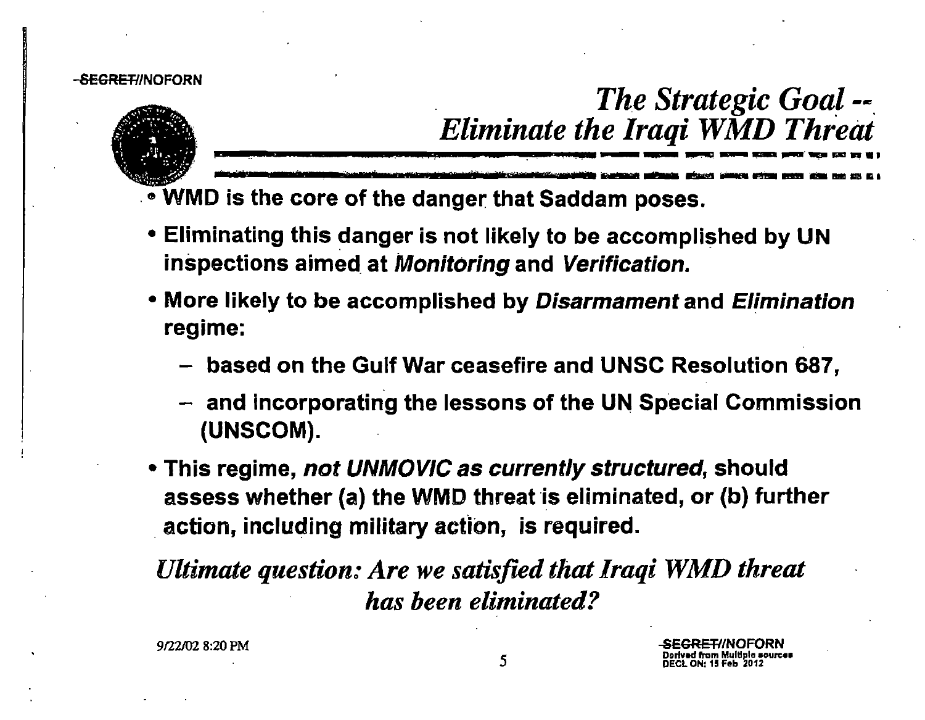#### SEGRET//NOFORN



## *The Strategic Goa!* ..... *Eliminate the Iraqi WMD Threat*  Eliminate the Iraqi WMD Threat

Ill

.~ WMD is the core of the danger that Saddam poses.

- Eliminating this danger is not likely to be accomplished by UN inspections aimed at Monitoring and Verification.
- More likely to be accomplished by Disarmament and Elimination regime:
	- based on the Gulf War ceasefire and UNSC Resolution 687,
	- $-$  and incorporating the lessons of the UN Special Commission (UNSCOM).
- This regime, *not UNMOVIC as currently structured*, should assess whether (a) the WMD threat is eliminated, or (b) further . action, including military action, is required.

*Ultimate question: Are we satisfied that Iraqi WMD threat has been eliminated?*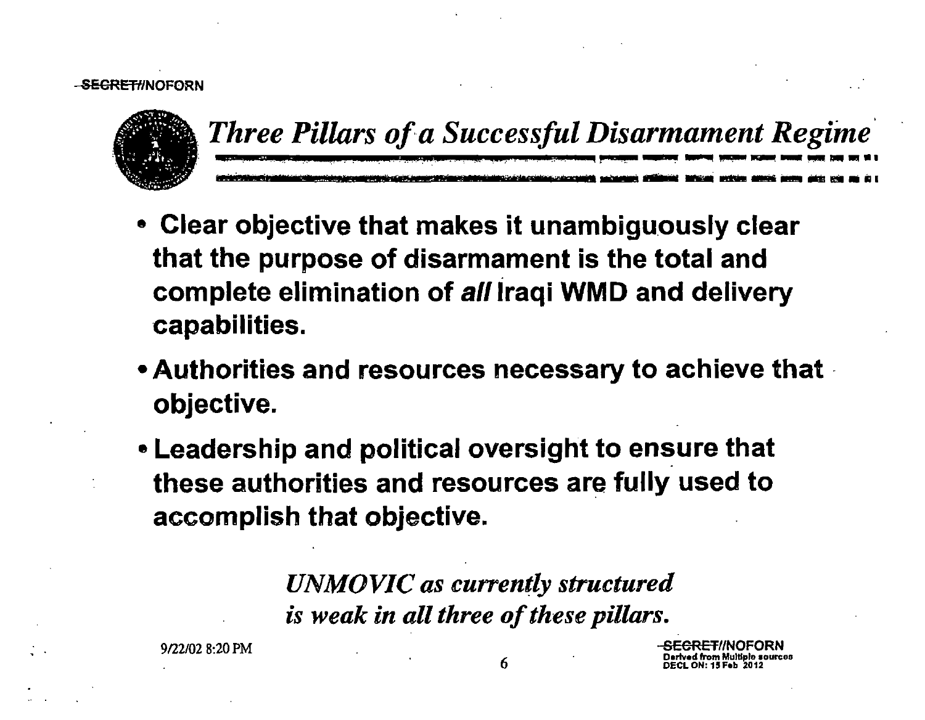### <del>-SECRET/</del>/NOFORN



. *Three Pillars ofa Successful Disarmament Regime·*  ~-----··-···-·.-· -· ------ - --- --llll•• ~------------ ~· .... ------ lllil. ill

- Clear objective that makes it unambiguously clear that the purpose of disarmament is the total and complete elimination of all Iraqi WMD and delivery capabilities.
- •Authorities and resources necessary to achieve that · objective.
- Leadership and political oversight to ensure that these authorities and resources are fully used to accomplish that objective.

*UNMOVIC as currently structured is weak in all three of these pillars.* 

9'22102 8:20 PM

<del>SECRET</del>//NOFORN D•rtv•d from Multlplo •ourcoa DECL ON: 15 Fob 2012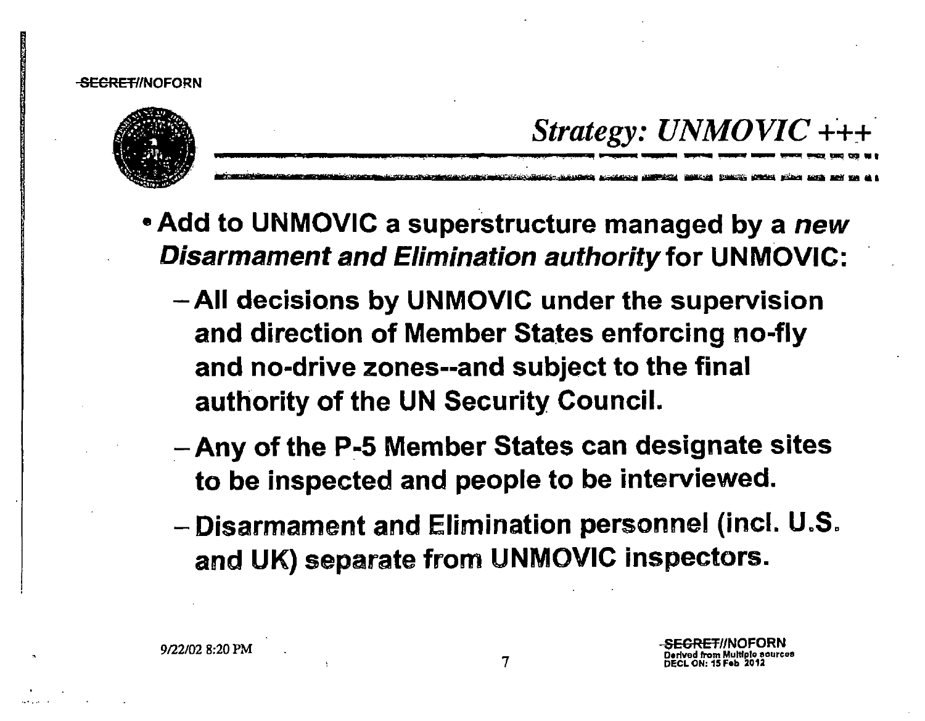

### Strategy:  $UNMOVIC$ +++

- Add to UNMOVIC a superstructure managed by a new **Disarmament and Elimination authority for UNMOVIC:** 
	- All decisions by UNMOVIC under the supervision and direction of Member States enforcing no-fly and no-drive zones--and subject to the final authority of the UN Security Council.
	- Any of the P-5 Member States can designate sites to be inspected and people to be interviewed.
	- Disarmament and Elimination personnel (incl. U.S. and UK) separate from UNMOVIC inspectors.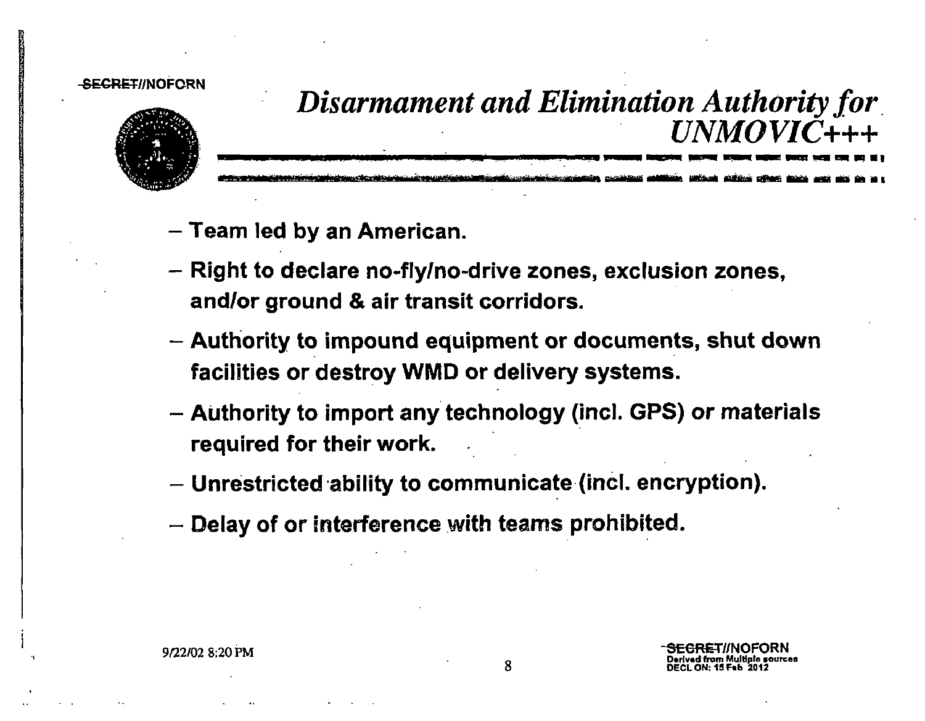#### SECRET//NOFORN



# *Disarmament and Elimination Authority for.*  ...,.\_\_\_\_\_\_...\_\_- -----91!., ---'llil!!lillllii!ib!\_\_.....,\_\_lllliid!llli~--lllill ;··•:tr ti ................. lill!Mi - - lllill <sup>1111</sup>\_\_\_\_\_\_\_\_ *UNMOVIC+++*

- -Team led by an American.
- Right to declare no-fly/no-drive zones, exclusion zones, and/or ground & air transit corridors.
- Authority to impound equipment or documents, shut down facilities or destroy WMD or delivery systems.
- Authority to import any technology (incl. GPS) or materials required for their work.
- Unrestricted ability to communicate (incl. encryption).
- Delay of or interference with teams prohibited.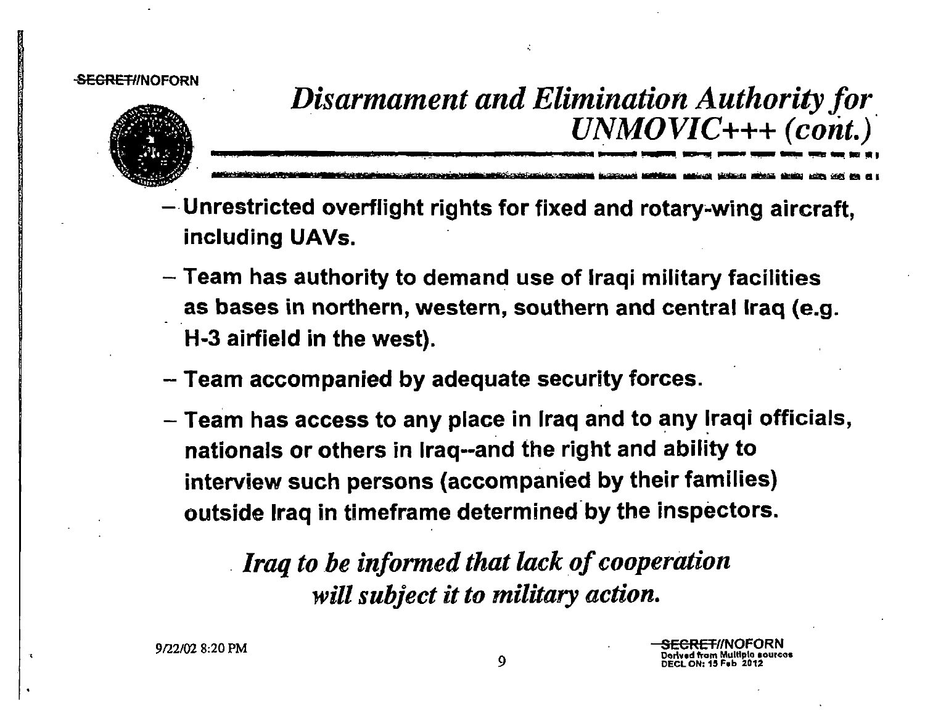#### SEGRET/INOFORN



*Disarmament and Elimination Authority for*   $UNMOVIC+++ (cont.)$ 

-· hnr "i - - ......,. -.., - - fOlli <sup>111111</sup>

- Unrestricted overflight rights for fixed and rotary~wing aircraft, including UAVs.
- Team has authority to demand use of Iraqi military facilities as bases in northern, western, southern and central Iraq (e.g. H-3 airfield in the west).
- Team accompanied by adequate security forces.
- Team has access to any place in Iraq and to any Iraqi officials, nationals or others in lraq--and the right and ability to interview such persons (accompanied by their families) outside Iraq in timeframe determined by the inspectors.

*Iraq to be informed that lack of cooperation will subject it to military action.*